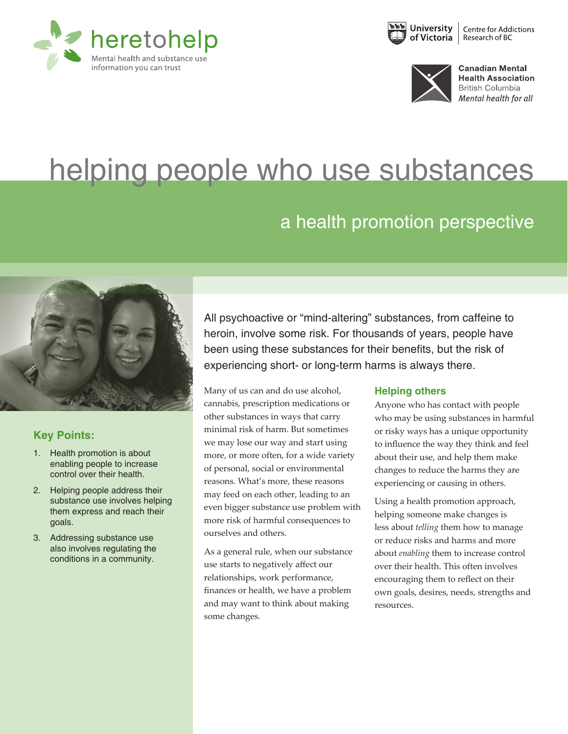





**Canadian Mental Health Association British Columbia** Mental health for all

## helping people who use substances

## a health promotion perspective



#### **Key Points:**

- 1. Health promotion is about enabling people to increase control over their health.
- 2. Helping people address their substance use involves helping them express and reach their goals.
- 3. Addressing substance use also involves regulating the conditions in a community.

All psychoactive or "mind-altering" substances, from caffeine to heroin, involve some risk. For thousands of years, people have been using these substances for their benefits, but the risk of experiencing short- or long-term harms is always there.

Many of us can and do use alcohol, cannabis, prescription medications or other substances in ways that carry minimal risk of harm. But sometimes we may lose our way and start using more, or more often, for a wide variety of personal, social or environmental reasons. What's more, these reasons may feed on each other, leading to an even bigger substance use problem with more risk of harmful consequences to ourselves and others.

As a general rule, when our substance use starts to negatively affect our relationships, work performance, finances or health, we have a problem and may want to think about making some changes.

#### **Helping others**

Anyone who has contact with people who may be using substances in harmful or risky ways has a unique opportunity to influence the way they think and feel about their use, and help them make changes to reduce the harms they are experiencing or causing in others.

Using a health promotion approach, helping someone make changes is less about *telling* them how to manage or reduce risks and harms and more about *enabling* them to increase control over their health. This often involves encouraging them to reflect on their own goals, desires, needs, strengths and resources.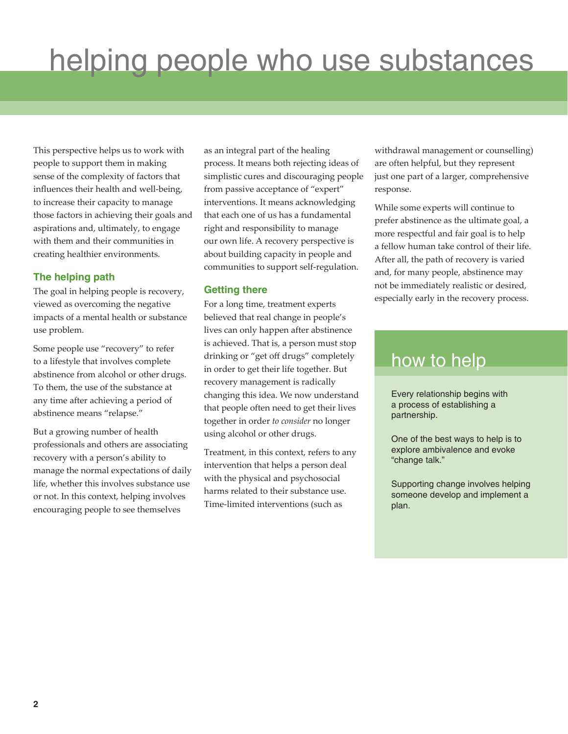This perspective helps us to work with people to support them in making sense of the complexity of factors that influences their health and well-being, to increase their capacity to manage those factors in achieving their goals and aspirations and, ultimately, to engage with them and their communities in creating healthier environments.

#### **The helping path**

The goal in helping people is recovery, viewed as overcoming the negative impacts of a mental health or substance use problem.

Some people use "recovery" to refer to a lifestyle that involves complete abstinence from alcohol or other drugs. To them, the use of the substance at any time after achieving a period of abstinence means "relapse."

But a growing number of health professionals and others are associating recovery with a person's ability to manage the normal expectations of daily life, whether this involves substance use or not. In this context, helping involves encouraging people to see themselves

as an integral part of the healing process. It means both rejecting ideas of simplistic cures and discouraging people from passive acceptance of "expert" interventions. It means acknowledging that each one of us has a fundamental right and responsibility to manage our own life. A recovery perspective is about building capacity in people and communities to support self-regulation.

#### **Getting there**

For a long time, treatment experts believed that real change in people's lives can only happen after abstinence is achieved. That is, a person must stop drinking or "get off drugs" completely in order to get their life together. But recovery management is radically changing this idea. We now understand that people often need to get their lives together in order *to consider* no longer using alcohol or other drugs.

Treatment, in this context, refers to any intervention that helps a person deal with the physical and psychosocial harms related to their substance use. Time-limited interventions (such as

withdrawal management or counselling) are often helpful, but they represent just one part of a larger, comprehensive response.

While some experts will continue to prefer abstinence as the ultimate goal, a more respectful and fair goal is to help a fellow human take control of their life. After all, the path of recovery is varied and, for many people, abstinence may not be immediately realistic or desired, especially early in the recovery process.

### how to help

Every relationship begins with a process of establishing a partnership.

One of the best ways to help is to explore ambivalence and evoke "change talk."

Supporting change involves helping someone develop and implement a plan.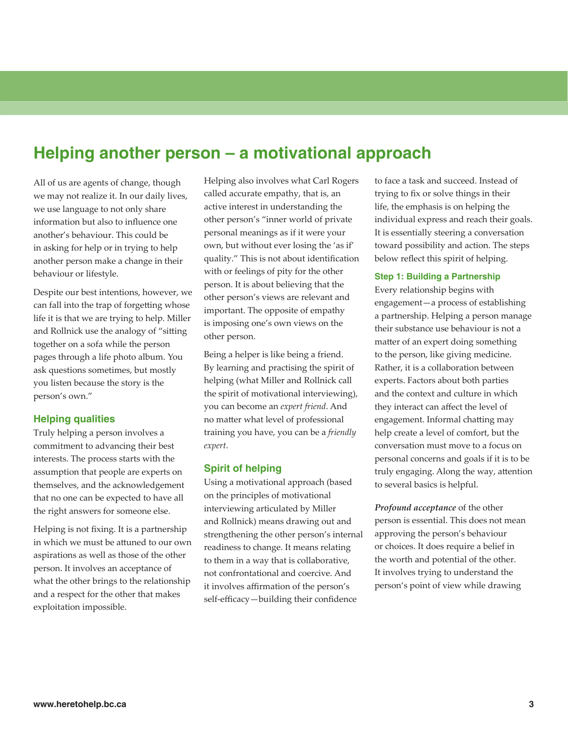### **Helping another person – a motivational approach**

All of us are agents of change, though we may not realize it. In our daily lives, we use language to not only share information but also to influence one another's behaviour. This could be in asking for help or in trying to help another person make a change in their behaviour or lifestyle.

Despite our best intentions, however, we can fall into the trap of forgetting whose life it is that we are trying to help. Miller and Rollnick use the analogy of "sitting together on a sofa while the person pages through a life photo album. You ask questions sometimes, but mostly you listen because the story is the person's own."

#### **Helping qualities**

Truly helping a person involves a commitment to advancing their best interests. The process starts with the assumption that people are experts on themselves, and the acknowledgement that no one can be expected to have all the right answers for someone else.

Helping is not fixing. It is a partnership in which we must be attuned to our own aspirations as well as those of the other person. It involves an acceptance of what the other brings to the relationship and a respect for the other that makes exploitation impossible.

Helping also involves what Carl Rogers called accurate empathy, that is, an active interest in understanding the other person's "inner world of private personal meanings as if it were your own, but without ever losing the 'as if' quality." This is not about identification with or feelings of pity for the other person. It is about believing that the other person's views are relevant and important. The opposite of empathy is imposing one's own views on the other person.

Being a helper is like being a friend. By learning and practising the spirit of helping (what Miller and Rollnick call the spirit of motivational interviewing), you can become an *expert friend*. And no matter what level of professional training you have, you can be a *friendly expert*.

#### **Spirit of helping**

Using a motivational approach (based on the principles of motivational interviewing articulated by Miller and Rollnick) means drawing out and strengthening the other person's internal readiness to change. It means relating to them in a way that is collaborative, not confrontational and coercive. And it involves affirmation of the person's self-efficacy—building their confidence

to face a task and succeed. Instead of trying to fix or solve things in their life, the emphasis is on helping the individual express and reach their goals. It is essentially steering a conversation toward possibility and action. The steps below reflect this spirit of helping.

#### **Step 1: Building a Partnership**

Every relationship begins with engagement—a process of establishing a partnership. Helping a person manage their substance use behaviour is not a matter of an expert doing something to the person, like giving medicine. Rather, it is a collaboration between experts. Factors about both parties and the context and culture in which they interact can affect the level of engagement. Informal chatting may help create a level of comfort, but the conversation must move to a focus on personal concerns and goals if it is to be truly engaging. Along the way, attention to several basics is helpful.

*Profound acceptance* of the other person is essential. This does not mean approving the person's behaviour or choices. It does require a belief in the worth and potential of the other. It involves trying to understand the person's point of view while drawing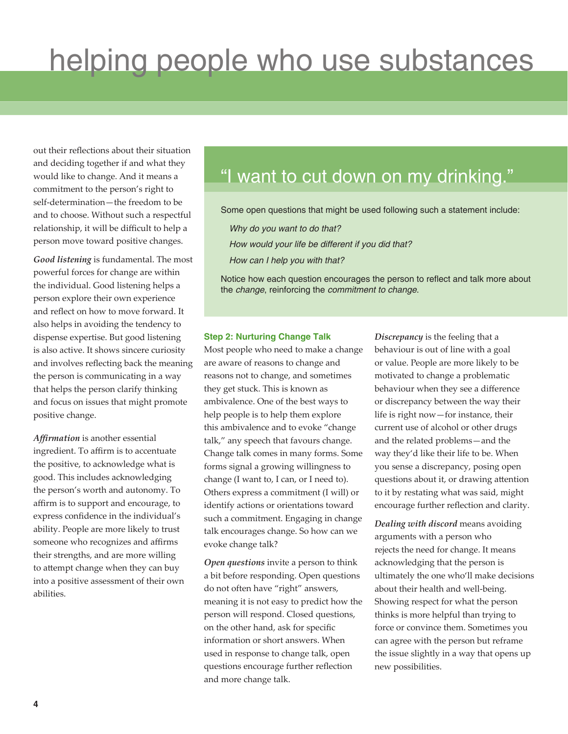out their reflections about their situation and deciding together if and what they would like to change. And it means a commitment to the person's right to self-determination—the freedom to be and to choose. Without such a respectful relationship, it will be difficult to help a person move toward positive changes.

*Good listening* is fundamental. The most powerful forces for change are within the individual. Good listening helps a person explore their own experience and reflect on how to move forward. It also helps in avoiding the tendency to dispense expertise. But good listening is also active. It shows sincere curiosity and involves reflecting back the meaning the person is communicating in a way that helps the person clarify thinking and focus on issues that might promote positive change.

*Affirmation* is another essential ingredient. To affirm is to accentuate the positive, to acknowledge what is good. This includes acknowledging the person's worth and autonomy. To affirm is to support and encourage, to express confidence in the individual's ability. People are more likely to trust someone who recognizes and affirms their strengths, and are more willing to attempt change when they can buy into a positive assessment of their own abilities.

## "I want to cut down on my drinking."

Some open questions that might be used following such a statement include:

*Why do you want to do that?*

*How would your life be different if you did that?*

*How can I help you with that?*

Notice how each question encourages the person to reflect and talk more about the *change*, reinforcing the *commitment to change*.

#### **Step 2: Nurturing Change Talk**

Most people who need to make a change are aware of reasons to change and reasons not to change, and sometimes they get stuck. This is known as ambivalence. One of the best ways to help people is to help them explore this ambivalence and to evoke "change talk," any speech that favours change. Change talk comes in many forms. Some forms signal a growing willingness to change (I want to, I can, or I need to). Others express a commitment (I will) or identify actions or orientations toward such a commitment. Engaging in change talk encourages change. So how can we evoke change talk?

*Open questions* invite a person to think a bit before responding. Open questions do not often have "right" answers, meaning it is not easy to predict how the person will respond. Closed questions, on the other hand, ask for specific information or short answers. When used in response to change talk, open questions encourage further reflection and more change talk.

*Discrepancy* is the feeling that a behaviour is out of line with a goal or value. People are more likely to be motivated to change a problematic behaviour when they see a difference or discrepancy between the way their life is right now—for instance, their current use of alcohol or other drugs and the related problems—and the way they'd like their life to be. When you sense a discrepancy, posing open questions about it, or drawing attention to it by restating what was said, might encourage further reflection and clarity.

*Dealing with discord* means avoiding arguments with a person who rejects the need for change. It means acknowledging that the person is ultimately the one who'll make decisions about their health and well-being. Showing respect for what the person thinks is more helpful than trying to force or convince them. Sometimes you can agree with the person but reframe the issue slightly in a way that opens up new possibilities.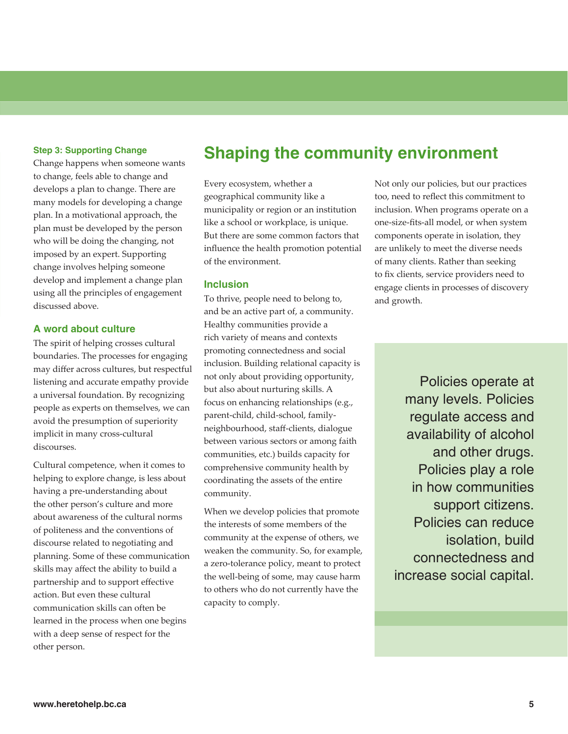#### **Step 3: Supporting Change**

Change happens when someone wants to change, feels able to change and develops a plan to change. There are many models for developing a change plan. In a motivational approach, the plan must be developed by the person who will be doing the changing, not imposed by an expert. Supporting change involves helping someone develop and implement a change plan using all the principles of engagement discussed above.

#### **A word about culture**

The spirit of helping crosses cultural boundaries. The processes for engaging may differ across cultures, but respectful listening and accurate empathy provide a universal foundation. By recognizing people as experts on themselves, we can avoid the presumption of superiority implicit in many cross-cultural discourses.

Cultural competence, when it comes to helping to explore change, is less about having a pre-understanding about the other person's culture and more about awareness of the cultural norms of politeness and the conventions of discourse related to negotiating and planning. Some of these communication skills may affect the ability to build a partnership and to support effective action. But even these cultural communication skills can often be learned in the process when one begins with a deep sense of respect for the other person.

## **Shaping the community environment**

Every ecosystem, whether a geographical community like a municipality or region or an institution like a school or workplace, is unique. But there are some common factors that influence the health promotion potential of the environment.

#### **Inclusion**

To thrive, people need to belong to, and be an active part of, a community. Healthy communities provide a rich variety of means and contexts promoting connectedness and social inclusion. Building relational capacity is not only about providing opportunity, but also about nurturing skills. A focus on enhancing relationships (e.g., parent-child, child-school, familyneighbourhood, staff-clients, dialogue between various sectors or among faith communities, etc.) builds capacity for comprehensive community health by coordinating the assets of the entire community.

When we develop policies that promote the interests of some members of the community at the expense of others, we weaken the community. So, for example, a zero-tolerance policy, meant to protect the well-being of some, may cause harm to others who do not currently have the capacity to comply.

Not only our policies, but our practices too, need to reflect this commitment to inclusion. When programs operate on a one-size-fits-all model, or when system components operate in isolation, they are unlikely to meet the diverse needs of many clients. Rather than seeking to fix clients, service providers need to engage clients in processes of discovery and growth.

> Policies operate at many levels. Policies regulate access and availability of alcohol and other drugs. Policies play a role in how communities support citizens. Policies can reduce isolation, build connectedness and increase social capital.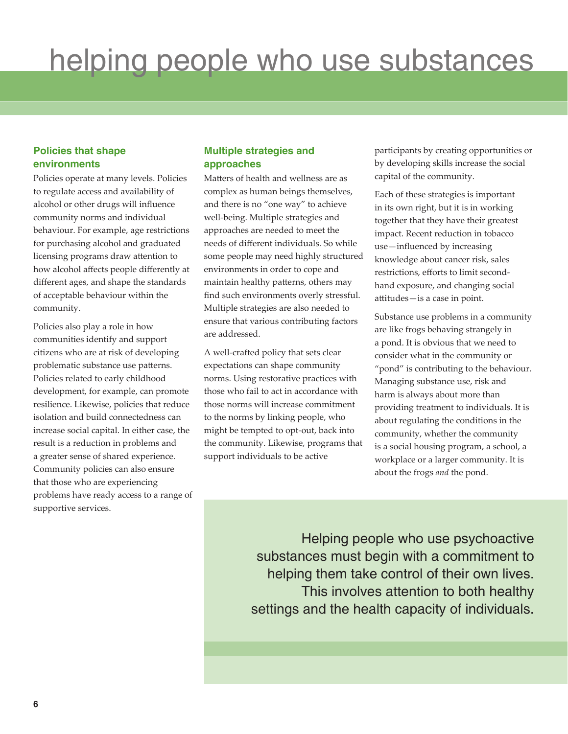#### **Policies that shape environments**

Policies operate at many levels. Policies to regulate access and availability of alcohol or other drugs will influence community norms and individual behaviour. For example, age restrictions for purchasing alcohol and graduated licensing programs draw attention to how alcohol affects people differently at different ages, and shape the standards of acceptable behaviour within the community.

Policies also play a role in how communities identify and support citizens who are at risk of developing problematic substance use patterns. Policies related to early childhood development, for example, can promote resilience. Likewise, policies that reduce isolation and build connectedness can increase social capital. In either case, the result is a reduction in problems and a greater sense of shared experience. Community policies can also ensure that those who are experiencing problems have ready access to a range of supportive services.

#### **Multiple strategies and approaches**

Matters of health and wellness are as complex as human beings themselves, and there is no "one way" to achieve well-being. Multiple strategies and approaches are needed to meet the needs of different individuals. So while some people may need highly structured environments in order to cope and maintain healthy patterns, others may find such environments overly stressful. Multiple strategies are also needed to ensure that various contributing factors are addressed.

A well-crafted policy that sets clear expectations can shape community norms. Using restorative practices with those who fail to act in accordance with those norms will increase commitment to the norms by linking people, who might be tempted to opt-out, back into the community. Likewise, programs that support individuals to be active

participants by creating opportunities or by developing skills increase the social capital of the community.

Each of these strategies is important in its own right, but it is in working together that they have their greatest impact. Recent reduction in tobacco use—influenced by increasing knowledge about cancer risk, sales restrictions, efforts to limit secondhand exposure, and changing social attitudes—is a case in point.

Substance use problems in a community are like frogs behaving strangely in a pond. It is obvious that we need to consider what in the community or "pond" is contributing to the behaviour. Managing substance use, risk and harm is always about more than providing treatment to individuals. It is about regulating the conditions in the community, whether the community is a social housing program, a school, a workplace or a larger community. It is about the frogs *and* the pond.

Helping people who use psychoactive substances must begin with a commitment to helping them take control of their own lives. This involves attention to both healthy settings and the health capacity of individuals.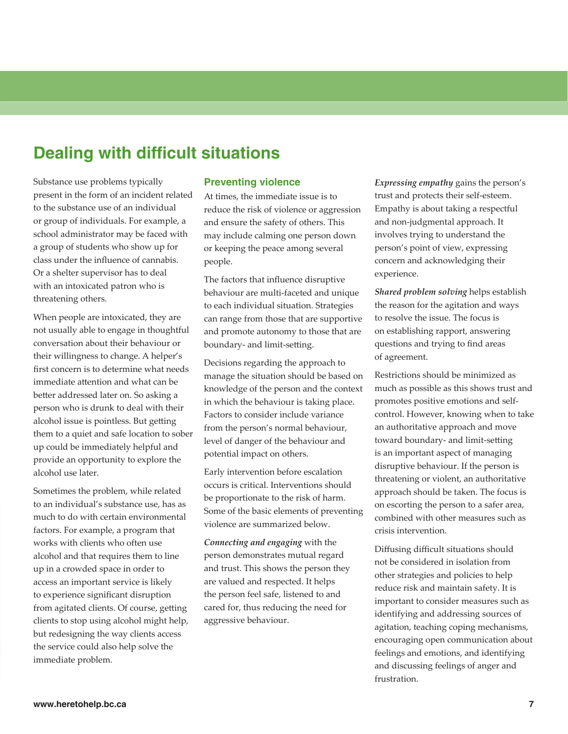### **Dealing with difficult situations**

Substance use problems typically present in the form of an incident related to the substance use of an individual or group of individuals. For example, a school administrator may be faced with a group of students who show up for class under the influence of cannabis. Or a shelter supervisor has to deal with an intoxicated patron who is threatening others.

When people are intoxicated, they are not usually able to engage in thoughtful conversation about their behaviour or their willingness to change. A helper's first concern is to determine what needs immediate attention and what can be better addressed later on. So asking a person who is drunk to deal with their alcohol issue is pointless. But getting them to a quiet and safe location to sober up could be immediately helpful and provide an opportunity to explore the alcohol use later.

Sometimes the problem, while related to an individual's substance use, has as much to do with certain environmental factors. For example, a program that works with clients who often use alcohol and that requires them to line up in a crowded space in order to access an important service is likely to experience significant disruption from agitated clients. Of course, getting clients to stop using alcohol might help, but redesigning the way clients access the service could also help solve the immediate problem.

#### **Preventing violence**

At times, the immediate issue is to reduce the risk of violence or aggression and ensure the safety of others. This may include calming one person down or keeping the peace among several people.

The factors that influence disruptive behaviour are multi-faceted and unique to each individual situation. Strategies can range from those that are supportive and promote autonomy to those that are boundary- and limit-setting.

Decisions regarding the approach to manage the situation should be based on knowledge of the person and the context in which the behaviour is taking place. Factors to consider include variance from the person's normal behaviour, level of danger of the behaviour and potential impact on others.

Early intervention before escalation occurs is critical. Interventions should be proportionate to the risk of harm. Some of the basic elements of preventing violence are summarized below.

*Connecting and engaging* with the person demonstrates mutual regard and trust. This shows the person they are valued and respected. It helps the person feel safe, listened to and cared for, thus reducing the need for aggressive behaviour.

*Expressing empathy* gains the person's trust and protects their self-esteem. Empathy is about taking a respectful and non-judgmental approach. It involves trying to understand the person's point of view, expressing concern and acknowledging their experience.

*Shared problem solving* helps establish the reason for the agitation and ways to resolve the issue. The focus is on establishing rapport, answering questions and trying to find areas of agreement.

Restrictions should be minimized as much as possible as this shows trust and promotes positive emotions and selfcontrol. However, knowing when to take an authoritative approach and move toward boundary- and limit-setting is an important aspect of managing disruptive behaviour. If the person is threatening or violent, an authoritative approach should be taken. The focus is on escorting the person to a safer area, combined with other measures such as crisis intervention.

Diffusing difficult situations should not be considered in isolation from other strategies and policies to help reduce risk and maintain safety. It is important to consider measures such as identifying and addressing sources of agitation, teaching coping mechanisms, encouraging open communication about feelings and emotions, and identifying and discussing feelings of anger and frustration.